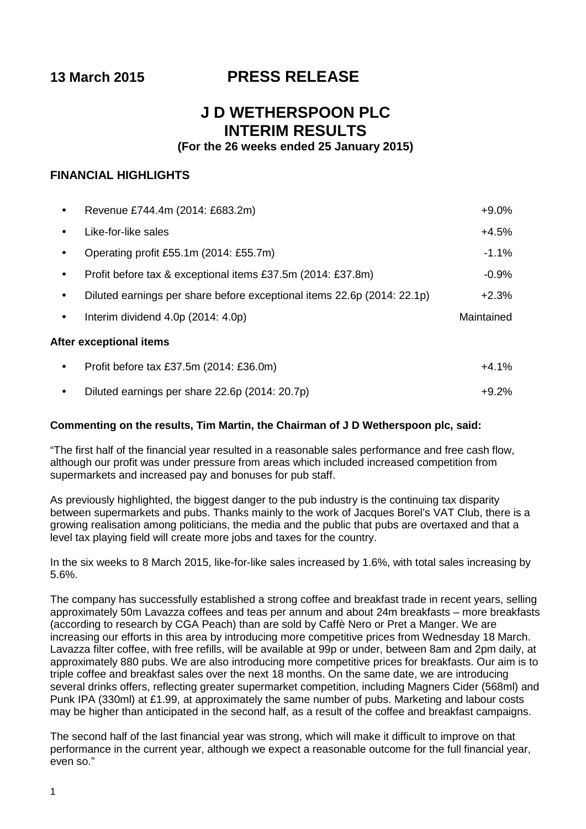# **13 March 2015 PRESS RELEASE**

# **J D WETHERSPOON PLC INTERIM RESULTS**

# **(For the 26 weeks ended 25 January 2015)**

# **FINANCIAL HIGHLIGHTS**

|           | Revenue £744.4m (2014: £683.2m)                                         | $+9.0\%$   |
|-----------|-------------------------------------------------------------------------|------------|
|           | Like-for-like sales                                                     | $+4.5%$    |
|           | Operating profit £55.1m (2014: £55.7m)                                  | $-1.1%$    |
| ٠         | Profit before tax & exceptional items £37.5m (2014: £37.8m)             | $-0.9\%$   |
| $\bullet$ | Diluted earnings per share before exceptional items 22.6p (2014: 22.1p) | $+2.3%$    |
| ٠         | Interim dividend 4.0p (2014: 4.0p)                                      | Maintained |
|           | After exceptional items                                                 |            |
| $\bullet$ | Profit before tax £37.5m (2014: £36.0m)                                 | $+4.1%$    |
|           | Diluted earnings per share 22.6p (2014: 20.7p)                          | $+9.2%$    |

# **Commenting on the results, Tim Martin, the Chairman of J D Wetherspoon plc, said:**

"The first half of the financial year resulted in a reasonable sales performance and free cash flow, although our profit was under pressure from areas which included increased competition from supermarkets and increased pay and bonuses for pub staff.

As previously highlighted, the biggest danger to the pub industry is the continuing tax disparity between supermarkets and pubs. Thanks mainly to the work of Jacques Borel's VAT Club, there is a growing realisation among politicians, the media and the public that pubs are overtaxed and that a level tax playing field will create more jobs and taxes for the country.

In the six weeks to 8 March 2015, like-for-like sales increased by 1.6%, with total sales increasing by 5.6%.

The company has successfully established a strong coffee and breakfast trade in recent years, selling approximately 50m Lavazza coffees and teas per annum and about 24m breakfasts – more breakfasts (according to research by CGA Peach) than are sold by Caffè Nero or Pret a Manger. We are increasing our efforts in this area by introducing more competitive prices from Wednesday 18 March. Lavazza filter coffee, with free refills, will be available at 99p or under, between 8am and 2pm daily, at approximately 880 pubs. We are also introducing more competitive prices for breakfasts. Our aim is to triple coffee and breakfast sales over the next 18 months. On the same date, we are introducing several drinks offers, reflecting greater supermarket competition, including Magners Cider (568ml) and Punk IPA (330ml) at £1.99, at approximately the same number of pubs. Marketing and labour costs may be higher than anticipated in the second half, as a result of the coffee and breakfast campaigns.

The second half of the last financial year was strong, which will make it difficult to improve on that performance in the current year, although we expect a reasonable outcome for the full financial year, even so."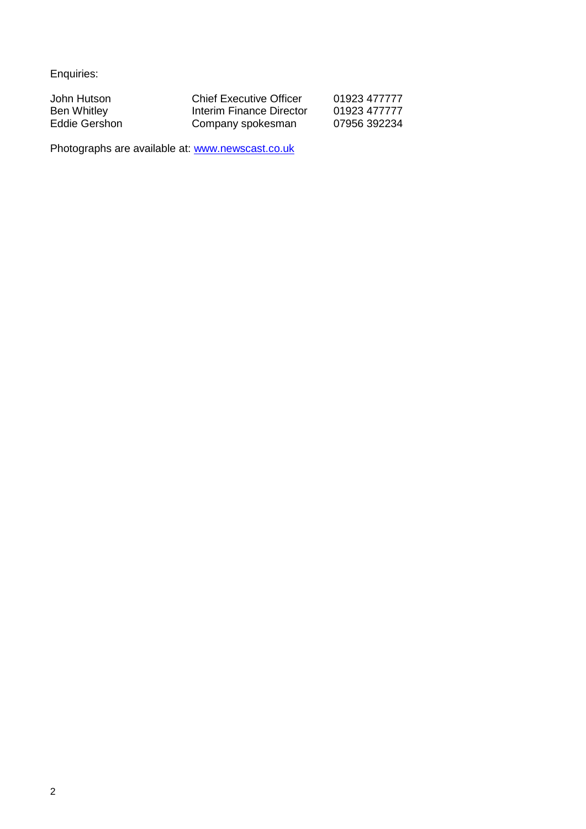Enquiries:

| John Hutson   | <b>Chief Executive Officer</b> | 01923 477777 |
|---------------|--------------------------------|--------------|
| Ben Whitley   | Interim Finance Director       | 01923 477777 |
| Eddie Gershon | Company spokesman              | 07956 392234 |

Photographs are available at: [www.newscast.co.uk](http://www.newscast.co.uk/)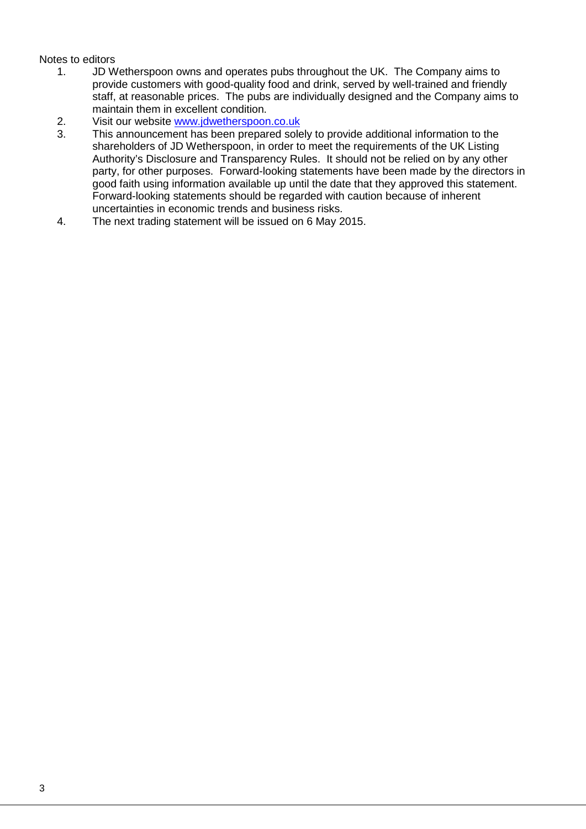# Notes to editors<br>1. JD W

- 1. JD Wetherspoon owns and operates pubs throughout the UK. The Company aims to provide customers with good-quality food and drink, served by well-trained and friendly staff, at reasonable prices. The pubs are individually designed and the Company aims to maintain them in excellent condition.
- 2. Visit our website [www.jdwetherspoon.co.uk](http://www.jdwetherspoon.co.uk/)
- 3. This announcement has been prepared solely to provide additional information to the shareholders of JD Wetherspoon, in order to meet the requirements of the UK Listing Authority's Disclosure and Transparency Rules. It should not be relied on by any other party, for other purposes. Forward-looking statements have been made by the directors in good faith using information available up until the date that they approved this statement. Forward-looking statements should be regarded with caution because of inherent uncertainties in economic trends and business risks.
- 4. The next trading statement will be issued on 6 May 2015.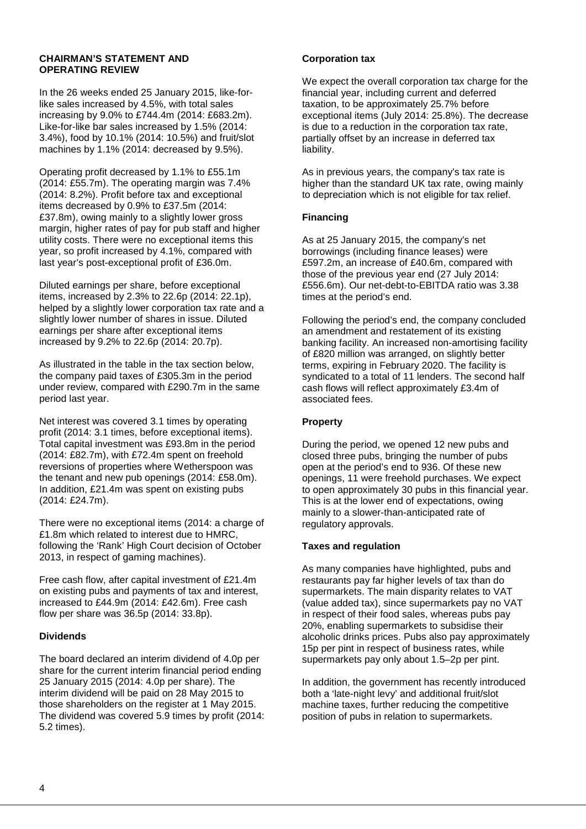#### **CHAIRMAN'S STATEMENT AND OPERATING REVIEW**

In the 26 weeks ended 25 January 2015, like-forlike sales increased by 4.5%, with total sales increasing by 9.0% to £744.4m (2014: £683.2m). Like-for-like bar sales increased by 1.5% (2014: 3.4%), food by 10.1% (2014: 10.5%) and fruit/slot machines by 1.1% (2014: decreased by 9.5%).

Operating profit decreased by 1.1% to £55.1m (2014: £55.7m). The operating margin was 7.4% (2014: 8.2%). Profit before tax and exceptional items decreased by 0.9% to £37.5m (2014: £37.8m), owing mainly to a slightly lower gross margin, higher rates of pay for pub staff and higher utility costs. There were no exceptional items this year, so profit increased by 4.1%, compared with last year's post-exceptional profit of £36.0m.

Diluted earnings per share, before exceptional items, increased by 2.3% to 22.6p (2014: 22.1p), helped by a slightly lower corporation tax rate and a slightly lower number of shares in issue. Diluted earnings per share after exceptional items increased by 9.2% to 22.6p (2014: 20.7p).

As illustrated in the table in the tax section below, the company paid taxes of £305.3m in the period under review, compared with £290.7m in the same period last year.

Net interest was covered 3.1 times by operating profit (2014: 3.1 times, before exceptional items). Total capital investment was £93.8m in the period (2014: £82.7m), with £72.4m spent on freehold reversions of properties where Wetherspoon was the tenant and new pub openings (2014: £58.0m). In addition, £21.4m was spent on existing pubs (2014: £24.7m).

There were no exceptional items (2014: a charge of £1.8m which related to interest due to HMRC, following the 'Rank' High Court decision of October 2013, in respect of gaming machines).

Free cash flow, after capital investment of £21.4m on existing pubs and payments of tax and interest, increased to £44.9m (2014: £42.6m). Free cash flow per share was 36.5p (2014: 33.8p).

# **Dividends**

The board declared an interim dividend of 4.0p per share for the current interim financial period ending 25 January 2015 (2014: 4.0p per share). The interim dividend will be paid on 28 May 2015 to those shareholders on the register at 1 May 2015. The dividend was covered 5.9 times by profit (2014: 5.2 times).

# **Corporation tax**

We expect the overall corporation tax charge for the financial year, including current and deferred taxation, to be approximately 25.7% before exceptional items (July 2014: 25.8%). The decrease is due to a reduction in the corporation tax rate, partially offset by an increase in deferred tax liability.

As in previous years, the company's tax rate is higher than the standard UK tax rate, owing mainly to depreciation which is not eligible for tax relief.

# **Financing**

As at 25 January 2015, the company's net borrowings (including finance leases) were £597.2m, an increase of £40.6m, compared with those of the previous year end (27 July 2014: £556.6m). Our net-debt-to-EBITDA ratio was 3.38 times at the period's end.

Following the period's end, the company concluded an amendment and restatement of its existing banking facility. An increased non-amortising facility of £820 million was arranged, on slightly better terms, expiring in February 2020. The facility is syndicated to a total of 11 lenders. The second half cash flows will reflect approximately £3.4m of associated fees.

# **Property**

During the period, we opened 12 new pubs and closed three pubs, bringing the number of pubs open at the period's end to 936. Of these new openings, 11 were freehold purchases. We expect to open approximately 30 pubs in this financial year. This is at the lower end of expectations, owing mainly to a slower-than-anticipated rate of regulatory approvals.

# **Taxes and regulation**

As many companies have highlighted, pubs and restaurants pay far higher levels of tax than do supermarkets. The main disparity relates to VAT (value added tax), since supermarkets pay no VAT in respect of their food sales, whereas pubs pay 20%, enabling supermarkets to subsidise their alcoholic drinks prices. Pubs also pay approximately 15p per pint in respect of business rates, while supermarkets pay only about 1.5–2p per pint.

In addition, the government has recently introduced both a 'late-night levy' and additional fruit/slot machine taxes, further reducing the competitive position of pubs in relation to supermarkets.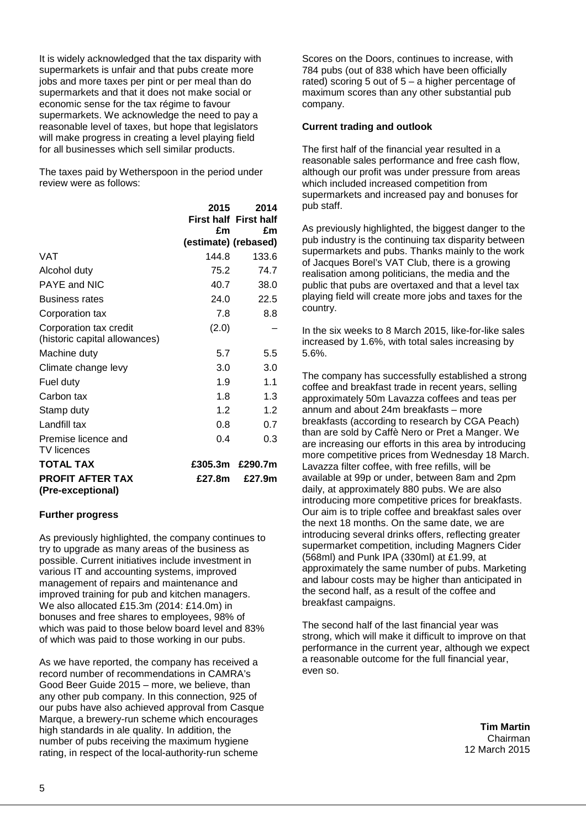It is widely acknowledged that the tax disparity with supermarkets is unfair and that pubs create more jobs and more taxes per pint or per meal than do supermarkets and that it does not make social or economic sense for the tax régime to favour supermarkets. We acknowledge the need to pay a reasonable level of taxes, but hope that legislators will make progress in creating a level playing field for all businesses which sell similar products.

The taxes paid by Wetherspoon in the period under review were as follows:

|                               | 2015                       | 2014                         |
|-------------------------------|----------------------------|------------------------------|
|                               |                            | <b>First half First half</b> |
|                               | £m<br>(estimate) (rebased) | £m                           |
|                               |                            |                              |
| VAT                           | 144.8                      | 133.6                        |
| Alcohol duty                  | 75.2                       | 74.7                         |
| PAYE and NIC                  | 40.7                       | 38.0                         |
| <b>Business rates</b>         | 24.0                       | 22.5                         |
| Corporation tax               | 7.8                        | 8.8                          |
| Corporation tax credit        | (2.0)                      |                              |
| (historic capital allowances) |                            |                              |
| Machine duty                  | 5.7                        | 5.5                          |
| Climate change levy           | 3.0                        | 3.0                          |
| Fuel duty                     | 1.9                        | 1.1                          |
| Carbon tax                    | 1.8                        | 1.3                          |
| Stamp duty                    | 1.2                        | 1.2                          |
| Landfill tax                  | 0.8                        | 0.7                          |
| Premise licence and           | 0.4                        | 0.3                          |
| <b>TV</b> licences            |                            |                              |
| <b>TOTAL TAX</b>              | £305.3m                    | £290.7m                      |
| <b>PROFIT AFTER TAX</b>       | £27.8m                     | £27.9m                       |
| (Pre-exceptional)             |                            |                              |

# **Further progress**

As previously highlighted, the company continues to try to upgrade as many areas of the business as possible. Current initiatives include investment in various IT and accounting systems, improved management of repairs and maintenance and improved training for pub and kitchen managers. We also allocated £15.3m (2014: £14.0m) in bonuses and free shares to employees, 98% of which was paid to those below board level and 83% of which was paid to those working in our pubs.

As we have reported, the company has received a record number of recommendations in CAMRA's Good Beer Guide 2015 – more, we believe, than any other pub company. In this connection, 925 of our pubs have also achieved approval from Casque Marque, a brewery-run scheme which encourages high standards in ale quality. In addition, the number of pubs receiving the maximum hygiene rating, in respect of the local-authority-run scheme

Scores on the Doors, continues to increase, with 784 pubs (out of 838 which have been officially rated) scoring 5 out of 5 – a higher percentage of maximum scores than any other substantial pub company.

### **Current trading and outlook**

The first half of the financial year resulted in a reasonable sales performance and free cash flow, although our profit was under pressure from areas which included increased competition from supermarkets and increased pay and bonuses for pub staff.

As previously highlighted, the biggest danger to the pub industry is the continuing tax disparity between supermarkets and pubs. Thanks mainly to the work of Jacques Borel's VAT Club, there is a growing realisation among politicians, the media and the public that pubs are overtaxed and that a level tax playing field will create more jobs and taxes for the country.

In the six weeks to 8 March 2015, like-for-like sales increased by 1.6%, with total sales increasing by 5.6%.

The company has successfully established a strong coffee and breakfast trade in recent years, selling approximately 50m Lavazza coffees and teas per annum and about 24m breakfasts – more breakfasts (according to research by CGA Peach) than are sold by Caffè Nero or Pret a Manger. We are increasing our efforts in this area by introducing more competitive prices from Wednesday 18 March. Lavazza filter coffee, with free refills, will be available at 99p or under, between 8am and 2pm daily, at approximately 880 pubs. We are also introducing more competitive prices for breakfasts. Our aim is to triple coffee and breakfast sales over the next 18 months. On the same date, we are introducing several drinks offers, reflecting greater supermarket competition, including Magners Cider (568ml) and Punk IPA (330ml) at £1.99, at approximately the same number of pubs. Marketing and labour costs may be higher than anticipated in the second half, as a result of the coffee and breakfast campaigns.

The second half of the last financial year was strong, which will make it difficult to improve on that performance in the current year, although we expect a reasonable outcome for the full financial year, even so.

> **Tim Martin** Chairman 12 March 2015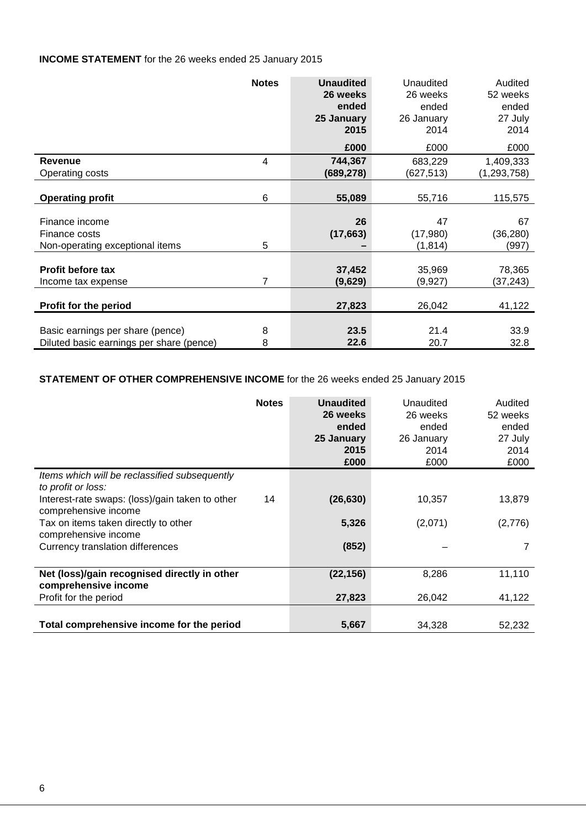# **INCOME STATEMENT** for the 26 weeks ended 25 January 2015

|                                          | <b>Notes</b> | <b>Unaudited</b><br>26 weeks | Unaudited<br>26 weeks | Audited<br>52 weeks |
|------------------------------------------|--------------|------------------------------|-----------------------|---------------------|
|                                          |              | ended                        | ended                 | ended               |
|                                          |              | 25 January                   | 26 January            | 27 July             |
|                                          |              | 2015                         | 2014                  | 2014                |
|                                          |              | £000                         | £000                  | £000                |
| Revenue                                  | 4            | 744,367                      | 683,229               | 1,409,333           |
| Operating costs                          |              | (689, 278)                   | (627, 513)            | (1,293,758)         |
|                                          |              |                              |                       |                     |
| <b>Operating profit</b>                  | 6            | 55,089                       | 55,716                | 115,575             |
|                                          |              |                              |                       |                     |
| Finance income                           |              | 26                           | 47                    | 67                  |
| Finance costs                            |              | (17, 663)                    | (17,980)              | (36,280)            |
| Non-operating exceptional items          | 5            |                              | (1, 814)              | (997)               |
|                                          |              |                              |                       |                     |
| <b>Profit before tax</b>                 |              | 37,452                       | 35,969                | 78,365              |
| Income tax expense                       | 7            | (9,629)                      | (9,927)               | (37,243)            |
|                                          |              |                              |                       |                     |
| Profit for the period                    |              | 27,823                       | 26,042                | 41,122              |
|                                          |              |                              |                       |                     |
| Basic earnings per share (pence)         | 8            | 23.5                         | 21.4                  | 33.9                |
| Diluted basic earnings per share (pence) | 8            | 22.6                         | 20.7                  | 32.8                |

# **STATEMENT OF OTHER COMPREHENSIVE INCOME** for the 26 weeks ended 25 January 2015

|                                                                         | <b>Notes</b> | <b>Unaudited</b><br>26 weeks<br>ended<br>25 January<br>2015<br>£000 | Unaudited<br>26 weeks<br>ended<br>26 January<br>2014<br>£000 | Audited<br>52 weeks<br>ended<br>27 July<br>2014<br>£000 |
|-------------------------------------------------------------------------|--------------|---------------------------------------------------------------------|--------------------------------------------------------------|---------------------------------------------------------|
| Items which will be reclassified subsequently<br>to profit or loss:     |              |                                                                     |                                                              |                                                         |
| Interest-rate swaps: (loss)/gain taken to other<br>comprehensive income | 14           | (26, 630)                                                           | 10,357                                                       | 13,879                                                  |
| Tax on items taken directly to other<br>comprehensive income            |              | 5,326                                                               | (2,071)                                                      | (2,776)                                                 |
| Currency translation differences                                        |              | (852)                                                               |                                                              | 7                                                       |
| Net (loss)/gain recognised directly in other<br>comprehensive income    |              | (22, 156)                                                           | 8,286                                                        | 11,110                                                  |
| Profit for the period                                                   |              | 27,823                                                              | 26,042                                                       | 41,122                                                  |
| Total comprehensive income for the period                               |              | 5,667                                                               | 34,328                                                       | 52,232                                                  |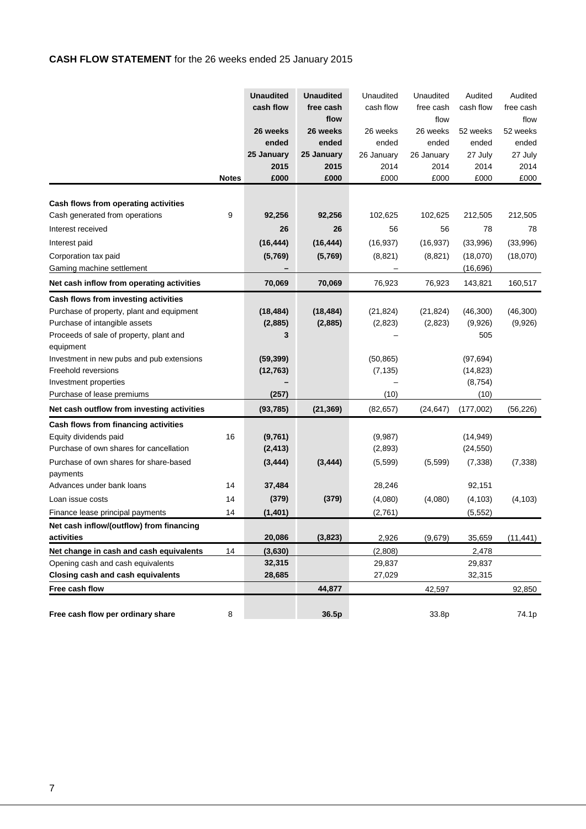# **CASH FLOW STATEMENT** for the 26 weeks ended 25 January 2015

|                                                   |              | <b>Unaudited</b><br>cash flow | <b>Unaudited</b><br>free cash | Unaudited<br>cash flow | Unaudited<br>free cash | Audited<br>cash flow  | Audited<br>free cash |
|---------------------------------------------------|--------------|-------------------------------|-------------------------------|------------------------|------------------------|-----------------------|----------------------|
|                                                   |              |                               | flow                          |                        | flow                   |                       | flow                 |
|                                                   |              | 26 weeks                      | 26 weeks                      | 26 weeks               | 26 weeks               | 52 weeks              | 52 weeks             |
|                                                   |              | ended                         | ended                         | ended                  | ended                  | ended                 | ended                |
|                                                   |              | 25 January                    | 25 January                    | 26 January             | 26 January             | 27 July               | 27 July              |
|                                                   |              | 2015                          | 2015                          | 2014                   | 2014                   | 2014                  | 2014                 |
|                                                   | <b>Notes</b> | £000                          | £000                          | £000                   | £000                   | £000                  | £000                 |
| Cash flows from operating activities              |              |                               |                               |                        |                        |                       |                      |
| Cash generated from operations                    | 9            | 92,256                        | 92,256                        | 102,625                | 102,625                | 212,505               | 212,505              |
| Interest received                                 |              | 26                            | 26                            | 56                     | 56                     | 78                    | 78                   |
| Interest paid                                     |              | (16, 444)                     | (16, 444)                     | (16, 937)              | (16, 937)              | (33,996)              | (33,996)             |
|                                                   |              |                               |                               |                        |                        |                       |                      |
| Corporation tax paid<br>Gaming machine settlement |              | (5,769)                       | (5,769)                       | (8,821)                | (8,821)                | (18,070)<br>(16, 696) | (18,070)             |
| Net cash inflow from operating activities         |              | 70,069                        | 70,069                        | 76,923                 | 76,923                 | 143,821               | 160,517              |
| Cash flows from investing activities              |              |                               |                               |                        |                        |                       |                      |
| Purchase of property, plant and equipment         |              | (18, 484)                     | (18, 484)                     | (21, 824)              | (21, 824)              | (46,300)              | (46, 300)            |
| Purchase of intangible assets                     |              | (2,885)                       | (2,885)                       | (2,823)                | (2,823)                | (9,926)               | (9,926)              |
| Proceeds of sale of property, plant and           |              | 3                             |                               |                        |                        | 505                   |                      |
| equipment                                         |              |                               |                               |                        |                        |                       |                      |
| Investment in new pubs and pub extensions         |              | (59, 399)                     |                               | (50, 865)              |                        | (97, 694)             |                      |
| Freehold reversions                               |              | (12, 763)                     |                               | (7, 135)               |                        | (14, 823)             |                      |
| Investment properties                             |              |                               |                               |                        |                        | (8, 754)              |                      |
| Purchase of lease premiums                        |              | (257)                         |                               | (10)                   |                        | (10)                  |                      |
| Net cash outflow from investing activities        |              | (93, 785)                     | (21, 369)                     | (82, 657)              | (24, 647)              | (177,002)             | (56, 226)            |
| Cash flows from financing activities              |              |                               |                               |                        |                        |                       |                      |
| Equity dividends paid                             | 16           | (9,761)                       |                               | (9,987)                |                        | (14, 949)             |                      |
| Purchase of own shares for cancellation           |              | (2, 413)                      |                               | (2,893)                |                        | (24, 550)             |                      |
| Purchase of own shares for share-based            |              | (3, 444)                      | (3, 444)                      | (5, 599)               | (5, 599)               | (7, 338)              | (7, 338)             |
| payments                                          |              |                               |                               |                        |                        |                       |                      |
| Advances under bank loans                         | 14           | 37,484                        |                               | 28,246                 |                        | 92,151                |                      |
| Loan issue costs                                  | 14           | (379)                         | (379)                         | (4,080)                | (4,080)                | (4, 103)              | (4, 103)             |
| Finance lease principal payments                  | 14           | (1, 401)                      |                               | (2,761)                |                        | (5, 552)              |                      |
| Net cash inflow/(outflow) from financing          |              |                               |                               |                        |                        |                       |                      |
| activities                                        |              | 20,086                        | (3,823)                       | 2,926                  | (9,679)                | 35,659                | (11, 441)            |
| Net change in cash and cash equivalents           | 14           | (3,630)                       |                               | (2,808)                |                        | 2,478                 |                      |
| Opening cash and cash equivalents                 |              | 32,315                        |                               | 29,837                 |                        | 29,837                |                      |
| <b>Closing cash and cash equivalents</b>          |              | 28,685                        |                               | 27,029                 |                        | 32,315                |                      |
| Free cash flow                                    |              |                               | 44,877                        |                        | 42,597                 |                       | 92,850               |
|                                                   |              |                               |                               |                        |                        |                       |                      |
| Free cash flow per ordinary share                 | 8            |                               | 36.5p                         |                        | 33.8p                  |                       | 74.1p                |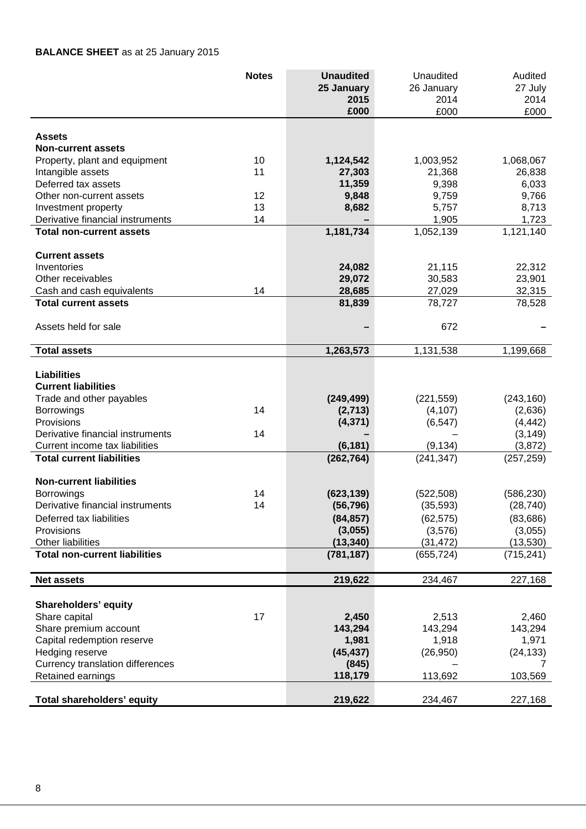# **BALANCE SHEET** as at 25 January 2015

|                                      | <b>Notes</b> | <b>Unaudited</b> | Unaudited  | Audited    |
|--------------------------------------|--------------|------------------|------------|------------|
|                                      |              | 25 January       | 26 January | 27 July    |
|                                      |              | 2015             | 2014       | 2014       |
|                                      |              | £000             | £000       | £000       |
| <b>Assets</b>                        |              |                  |            |            |
| <b>Non-current assets</b>            |              |                  |            |            |
| Property, plant and equipment        | 10           | 1,124,542        | 1,003,952  | 1,068,067  |
| Intangible assets                    | 11           | 27,303           | 21,368     | 26,838     |
| Deferred tax assets                  |              | 11,359           | 9,398      | 6,033      |
| Other non-current assets             | 12           | 9,848            | 9,759      | 9,766      |
| Investment property                  | 13           | 8,682            | 5,757      | 8,713      |
| Derivative financial instruments     | 14           |                  | 1,905      | 1,723      |
| <b>Total non-current assets</b>      |              | 1,181,734        | 1,052,139  | 1,121,140  |
| <b>Current assets</b>                |              |                  |            |            |
| Inventories                          |              | 24,082           | 21,115     | 22,312     |
| Other receivables                    |              | 29,072           | 30,583     | 23,901     |
| Cash and cash equivalents            | 14           | 28,685           | 27,029     | 32,315     |
| <b>Total current assets</b>          |              | 81,839           | 78,727     | 78,528     |
|                                      |              |                  |            |            |
| Assets held for sale                 |              |                  | 672        |            |
| <b>Total assets</b>                  |              | 1,263,573        | 1,131,538  | 1,199,668  |
|                                      |              |                  |            |            |
| <b>Liabilities</b>                   |              |                  |            |            |
| <b>Current liabilities</b>           |              |                  |            |            |
| Trade and other payables             |              | (249, 499)       | (221, 559) | (243, 160) |
| Borrowings                           | 14           | (2,713)          | (4, 107)   | (2,636)    |
| Provisions                           |              | (4, 371)         | (6, 547)   | (4, 442)   |
| Derivative financial instruments     | 14           |                  |            | (3, 149)   |
| Current income tax liabilities       |              | (6, 181)         | (9, 134)   | (3, 872)   |
| <b>Total current liabilities</b>     |              | (262, 764)       | (241, 347) | (257, 259) |
| <b>Non-current liabilities</b>       |              |                  |            |            |
| Borrowings                           | 14           | (623, 139)       | (522, 508) | (586, 230) |
| Derivative financial instruments     | 14           | (56, 796)        | (35, 593)  | (28, 740)  |
| Deferred tax liabilities             |              | (84, 857)        | (62, 575)  | (83, 686)  |
| Provisions                           |              | (3,055)          | (3,576)    | (3,055)    |
| Other liabilities                    |              | (13, 340)        | (31, 472)  | (13, 530)  |
| <b>Total non-current liabilities</b> |              | (781, 187)       | (655, 724) | (715, 241) |
| <b>Net assets</b>                    |              | 219,622          | 234,467    | 227,168    |
|                                      |              |                  |            |            |
| <b>Shareholders' equity</b>          |              |                  |            |            |
| Share capital                        | 17           | 2,450            | 2,513      | 2,460      |
| Share premium account                |              | 143,294          | 143,294    | 143,294    |
| Capital redemption reserve           |              | 1,981            | 1,918      | 1,971      |
| Hedging reserve                      |              | (45, 437)        | (26, 950)  | (24, 133)  |
| Currency translation differences     |              | (845)            |            | 7          |
| Retained earnings                    |              | 118,179          | 113,692    | 103,569    |
| Total shareholders' equity           |              | 219,622          | 234,467    | 227,168    |
|                                      |              |                  |            |            |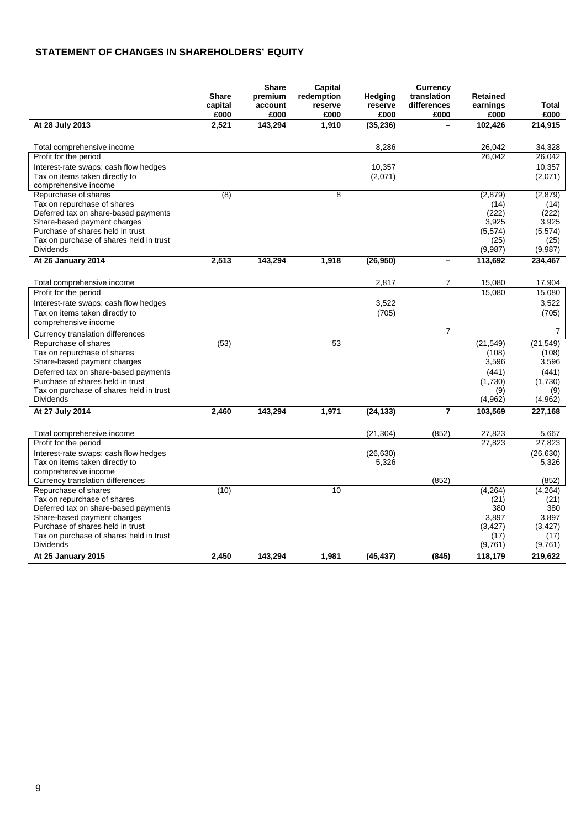# **STATEMENT OF CHANGES IN SHAREHOLDERS' EQUITY**

| £000<br>At 28 July 2013<br>2,521<br>143,294<br>(35, 236)<br>102,426<br>1,910<br>$\overline{a}$<br>8,286<br>26,042<br>Total comprehensive income<br>Profit for the period<br>26.042 | 214,915<br>34,328<br>26.042<br>10,357<br>(2,071)<br>(2,879)<br>(14) |  |  | £000 | £000 |  |
|------------------------------------------------------------------------------------------------------------------------------------------------------------------------------------|---------------------------------------------------------------------|--|--|------|------|--|
|                                                                                                                                                                                    |                                                                     |  |  |      |      |  |
|                                                                                                                                                                                    |                                                                     |  |  |      |      |  |
|                                                                                                                                                                                    |                                                                     |  |  |      |      |  |
| Interest-rate swaps: cash flow hedges<br>10,357                                                                                                                                    |                                                                     |  |  |      |      |  |
| Tax on items taken directly to<br>(2,071)                                                                                                                                          |                                                                     |  |  |      |      |  |
| comprehensive income                                                                                                                                                               |                                                                     |  |  |      |      |  |
| (8)<br>8<br>Repurchase of shares<br>(2,879)                                                                                                                                        |                                                                     |  |  |      |      |  |
| Tax on repurchase of shares<br>(14)                                                                                                                                                |                                                                     |  |  |      |      |  |
| Deferred tax on share-based payments<br>(222)                                                                                                                                      | (222)                                                               |  |  |      |      |  |
| 3,925<br>Share-based payment charges                                                                                                                                               | 3,925                                                               |  |  |      |      |  |
| Purchase of shares held in trust<br>(5,574)<br>Tax on purchase of shares held in trust<br>(25)                                                                                     | (5,574)<br>(25)                                                     |  |  |      |      |  |
| <b>Dividends</b><br>(9,987)                                                                                                                                                        | (9,987)                                                             |  |  |      |      |  |
| 2,513<br>143,294<br>(26, 950)<br>At 26 January 2014<br>1,918<br>113,692                                                                                                            | 234,467                                                             |  |  |      |      |  |
|                                                                                                                                                                                    |                                                                     |  |  |      |      |  |
| $\overline{7}$<br>2,817<br>15,080<br>Total comprehensive income                                                                                                                    | 17,904                                                              |  |  |      |      |  |
| 15.080<br>Profit for the period                                                                                                                                                    | 15.080                                                              |  |  |      |      |  |
| 3,522<br>Interest-rate swaps: cash flow hedges                                                                                                                                     | 3,522                                                               |  |  |      |      |  |
| Tax on items taken directly to<br>(705)                                                                                                                                            | (705)                                                               |  |  |      |      |  |
| comprehensive income                                                                                                                                                               |                                                                     |  |  |      |      |  |
| $\overline{7}$<br>Currency translation differences                                                                                                                                 | $\overline{7}$                                                      |  |  |      |      |  |
| (53)<br>53<br>Repurchase of shares<br>(21, 549)                                                                                                                                    | (21, 549)                                                           |  |  |      |      |  |
| Tax on repurchase of shares<br>(108)                                                                                                                                               | (108)                                                               |  |  |      |      |  |
| Share-based payment charges<br>3,596                                                                                                                                               | 3,596                                                               |  |  |      |      |  |
| (441)<br>Deferred tax on share-based payments                                                                                                                                      | (441)                                                               |  |  |      |      |  |
| Purchase of shares held in trust<br>(1,730)                                                                                                                                        | (1,730)                                                             |  |  |      |      |  |
| Tax on purchase of shares held in trust<br>(9)                                                                                                                                     | (9)                                                                 |  |  |      |      |  |
| <b>Dividends</b><br>(4,962)                                                                                                                                                        | (4,962)                                                             |  |  |      |      |  |
| $\overline{7}$<br>At 27 July 2014<br>143,294<br>1,971<br>(24, 133)<br>103,569<br>2.460                                                                                             | 227,168                                                             |  |  |      |      |  |
| (21, 304)<br>(852)<br>27,823<br>Total comprehensive income                                                                                                                         | 5,667                                                               |  |  |      |      |  |
| Profit for the period<br>27,823                                                                                                                                                    | 27,823                                                              |  |  |      |      |  |
| Interest-rate swaps: cash flow hedges<br>(26, 630)                                                                                                                                 | (26, 630)                                                           |  |  |      |      |  |
| Tax on items taken directly to<br>5,326                                                                                                                                            | 5,326                                                               |  |  |      |      |  |
| comprehensive income                                                                                                                                                               |                                                                     |  |  |      |      |  |
| (852)<br>Currency translation differences                                                                                                                                          | (852)                                                               |  |  |      |      |  |
| (10)<br>10<br>(4, 264)<br>Repurchase of shares                                                                                                                                     | (4,264)                                                             |  |  |      |      |  |
| Tax on repurchase of shares<br>(21)                                                                                                                                                | (21)                                                                |  |  |      |      |  |
| 380<br>Deferred tax on share-based payments<br>3,897                                                                                                                               | 380<br>3,897                                                        |  |  |      |      |  |
| Share-based payment charges<br>Purchase of shares held in trust<br>(3, 427)                                                                                                        | (3, 427)                                                            |  |  |      |      |  |
| Tax on purchase of shares held in trust<br>(17)                                                                                                                                    | (17)                                                                |  |  |      |      |  |
| <b>Dividends</b><br>(9,761)                                                                                                                                                        | (9,761)                                                             |  |  |      |      |  |
| At 25 January 2015<br>2,450<br>143,294<br>1,981<br>(45, 437)<br>(845)<br>118,179                                                                                                   | 219,622                                                             |  |  |      |      |  |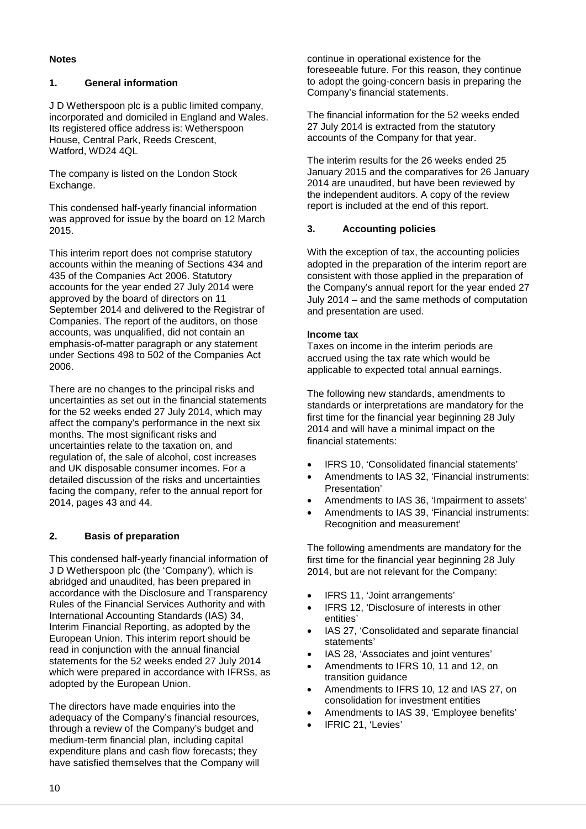# **Notes**

#### **1. General information**

J D Wetherspoon plc is a public limited company, incorporated and domiciled in England and Wales. Its registered office address is: Wetherspoon House, Central Park, Reeds Crescent, Watford, WD24 4QL

The company is listed on the London Stock Exchange.

This condensed half-yearly financial information was approved for issue by the board on 12 March 2015.

This interim report does not comprise statutory accounts within the meaning of Sections 434 and 435 of the Companies Act 2006. Statutory accounts for the year ended 27 July 2014 were approved by the board of directors on 11 September 2014 and delivered to the Registrar of Companies. The report of the auditors, on those accounts, was unqualified, did not contain an emphasis-of-matter paragraph or any statement under Sections 498 to 502 of the Companies Act 2006.

There are no changes to the principal risks and uncertainties as set out in the financial statements for the 52 weeks ended 27 July 2014, which may affect the company's performance in the next six months. The most significant risks and uncertainties relate to the taxation on, and regulation of, the sale of alcohol, cost increases and UK disposable consumer incomes. For a detailed discussion of the risks and uncertainties facing the company, refer to the annual report for 2014, pages 43 and 44.

# **2. Basis of preparation**

This condensed half-yearly financial information of J D Wetherspoon plc (the 'Company'), which is abridged and unaudited, has been prepared in accordance with the Disclosure and Transparency Rules of the Financial Services Authority and with International Accounting Standards (IAS) 34, Interim Financial Reporting, as adopted by the European Union. This interim report should be read in conjunction with the annual financial statements for the 52 weeks ended 27 July 2014 which were prepared in accordance with IFRSs, as adopted by the European Union.

The directors have made enquiries into the adequacy of the Company's financial resources, through a review of the Company's budget and medium-term financial plan, including capital expenditure plans and cash flow forecasts; they have satisfied themselves that the Company will continue in operational existence for the foreseeable future. For this reason, they continue to adopt the going-concern basis in preparing the Company's financial statements.

The financial information for the 52 weeks ended 27 July 2014 is extracted from the statutory accounts of the Company for that year.

The interim results for the 26 weeks ended 25 January 2015 and the comparatives for 26 January 2014 are unaudited, but have been reviewed by the independent auditors. A copy of the review report is included at the end of this report.

#### **3. Accounting policies**

With the exception of tax, the accounting policies adopted in the preparation of the interim report are consistent with those applied in the preparation of the Company's annual report for the year ended 27 July 2014 – and the same methods of computation and presentation are used.

#### **Income tax**

Taxes on income in the interim periods are accrued using the tax rate which would be applicable to expected total annual earnings.

The following new standards, amendments to standards or interpretations are mandatory for the first time for the financial year beginning 28 July 2014 and will have a minimal impact on the financial statements:

- IFRS 10, 'Consolidated financial statements'
- Amendments to IAS 32, 'Financial instruments: Presentation'
- Amendments to IAS 36, 'Impairment to assets'
- Amendments to IAS 39, 'Financial instruments: Recognition and measurement'

The following amendments are mandatory for the first time for the financial year beginning 28 July 2014, but are not relevant for the Company:

- IFRS 11, 'Joint arrangements'
- IFRS 12, 'Disclosure of interests in other entities'
- IAS 27, 'Consolidated and separate financial statements'
- IAS 28, 'Associates and joint ventures'
- Amendments to IFRS 10, 11 and 12, on transition guidance
- Amendments to IFRS 10, 12 and IAS 27, on consolidation for investment entities
- Amendments to IAS 39, 'Employee benefits'
- IFRIC 21, 'Levies'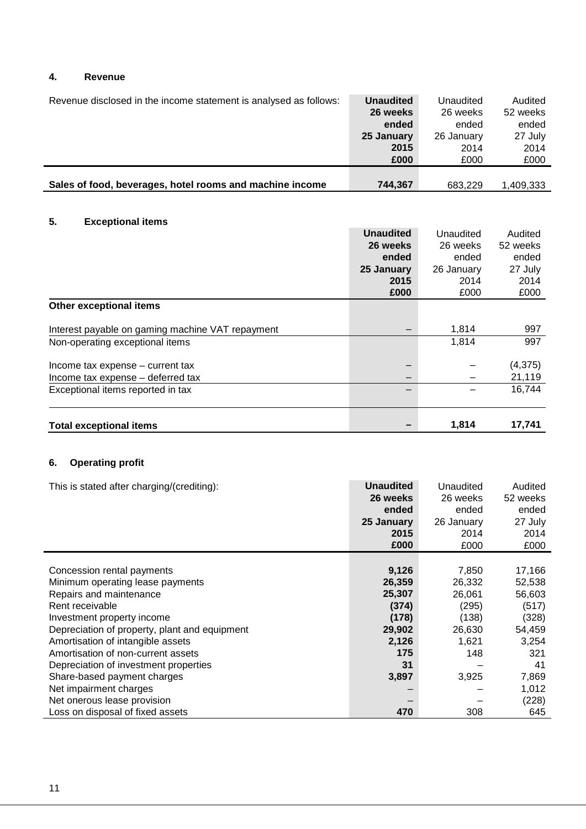# **4. Revenue**

| Revenue disclosed in the income statement is analysed as follows: | <b>Unaudited</b>  | Unaudited         | Audited           |
|-------------------------------------------------------------------|-------------------|-------------------|-------------------|
|                                                                   | 26 weeks<br>ended | 26 weeks<br>ended | 52 weeks<br>ended |
|                                                                   | 25 January        | 26 January        | 27 July           |
|                                                                   | 2015              | 2014              | 2014              |
|                                                                   | £000              | £000              | £000              |
|                                                                   |                   |                   |                   |
| Sales of food, beverages, hotel rooms and machine income          | 744,367           | 683.229           | 1,409,333         |

# **5. Exceptional items**

|                                                  | <b>Unaudited</b> | Unaudited  | Audited  |
|--------------------------------------------------|------------------|------------|----------|
|                                                  | 26 weeks         | 26 weeks   | 52 weeks |
|                                                  | ended            | ended      | ended    |
|                                                  | 25 January       | 26 January | 27 July  |
|                                                  | 2015             | 2014       | 2014     |
|                                                  | £000             | £000       | £000     |
| Other exceptional items                          |                  |            |          |
| Interest payable on gaming machine VAT repayment |                  | 1,814      | 997      |
| Non-operating exceptional items                  |                  | 1,814      | 997      |
| Income tax expense – current tax                 | —                |            | (4, 375) |
| Income tax expense - deferred tax                | —                |            | 21,119   |
| Exceptional items reported in tax                |                  |            | 16,744   |
|                                                  |                  |            |          |
| <b>Total exceptional items</b>                   |                  | 1,814      | 17,741   |

# **6. Operating profit**

| This is stated after charging/(crediting):    | <b>Unaudited</b> | Unaudited  | Audited  |
|-----------------------------------------------|------------------|------------|----------|
|                                               | 26 weeks         | 26 weeks   | 52 weeks |
|                                               | ended            | ended      | ended    |
|                                               | 25 January       | 26 January | 27 July  |
|                                               | 2015             | 2014       | 2014     |
|                                               | £000             | £000       | £000     |
|                                               |                  |            |          |
| Concession rental payments                    | 9,126            | 7,850      | 17,166   |
| Minimum operating lease payments              | 26,359           | 26,332     | 52,538   |
| Repairs and maintenance                       | 25,307           | 26,061     | 56,603   |
| Rent receivable                               | (374)            | (295)      | (517)    |
| Investment property income                    | (178)            | (138)      | (328)    |
| Depreciation of property, plant and equipment | 29,902           | 26,630     | 54,459   |
| Amortisation of intangible assets             | 2,126            | 1,621      | 3,254    |
| Amortisation of non-current assets            | 175              | 148        | 321      |
| Depreciation of investment properties         | 31               |            | 41       |
| Share-based payment charges                   | 3,897            | 3,925      | 7,869    |
| Net impairment charges                        |                  |            | 1,012    |
| Net onerous lease provision                   |                  |            | (228)    |
| Loss on disposal of fixed assets              | 470              | 308        | 645      |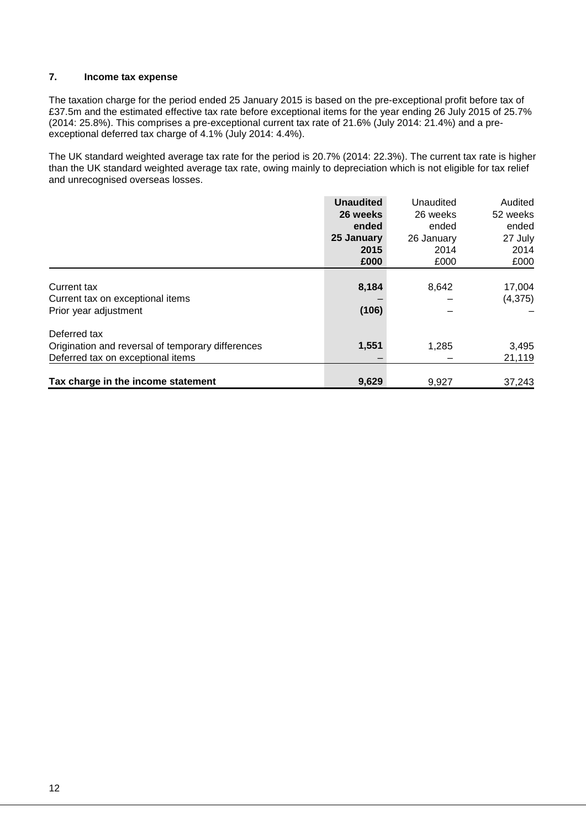# **7. Income tax expense**

The taxation charge for the period ended 25 January 2015 is based on the pre-exceptional profit before tax of £37.5m and the estimated effective tax rate before exceptional items for the year ending 26 July 2015 of 25.7% (2014: 25.8%). This comprises a pre-exceptional current tax rate of 21.6% (July 2014: 21.4%) and a preexceptional deferred tax charge of 4.1% (July 2014: 4.4%).

The UK standard weighted average tax rate for the period is 20.7% (2014: 22.3%). The current tax rate is higher than the UK standard weighted average tax rate, owing mainly to depreciation which is not eligible for tax relief and unrecognised overseas losses.

|                                                   | <b>Unaudited</b> | Unaudited  | Audited  |
|---------------------------------------------------|------------------|------------|----------|
|                                                   | 26 weeks         | 26 weeks   | 52 weeks |
|                                                   | ended            | ended      | ended    |
|                                                   | 25 January       | 26 January | 27 July  |
|                                                   | 2015             | 2014       | 2014     |
|                                                   | £000             | £000       | £000     |
|                                                   |                  |            |          |
| Current tax                                       | 8,184            | 8,642      | 17,004   |
| Current tax on exceptional items                  |                  |            | (4,375)  |
| Prior year adjustment                             | (106)            |            |          |
| Deferred tax                                      |                  |            |          |
| Origination and reversal of temporary differences | 1,551            | 1,285      | 3,495    |
| Deferred tax on exceptional items                 |                  |            | 21,119   |
| Tax charge in the income statement                | 9,629            | 9,927      | 37,243   |
|                                                   |                  |            |          |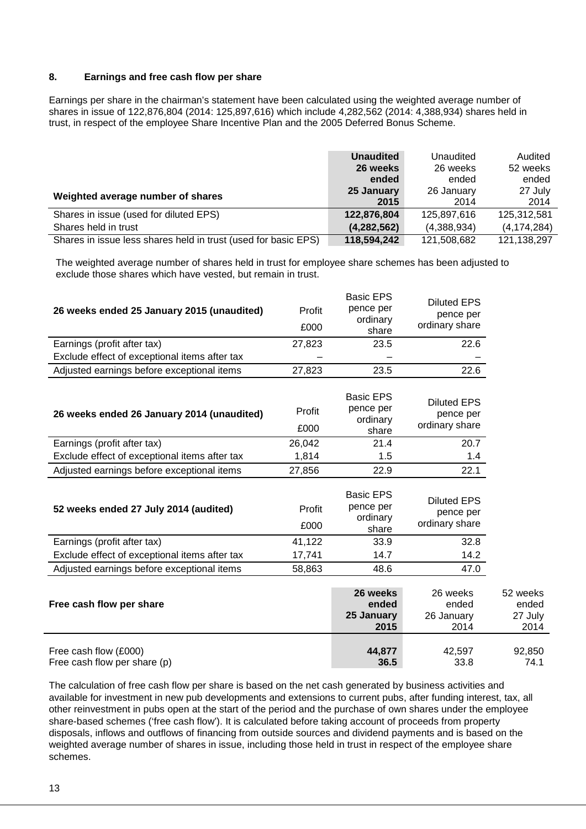# **8. Earnings and free cash flow per share**

Earnings per share in the chairman's statement have been calculated using the weighted average number of shares in issue of 122,876,804 (2014: 125,897,616) which include 4,282,562 (2014: 4,388,934) shares held in trust, in respect of the employee Share Incentive Plan and the 2005 Deferred Bonus Scheme.

|                                                                | <b>Unaudited</b> | Unaudited   | Audited       |
|----------------------------------------------------------------|------------------|-------------|---------------|
|                                                                | 26 weeks         | 26 weeks    | 52 weeks      |
|                                                                | ended            | ended       | ended         |
| Weighted average number of shares                              | 25 January       | 26 January  | 27 July       |
|                                                                | 2015             | 2014        | 2014          |
| Shares in issue (used for diluted EPS)                         | 122,876,804      | 125,897,616 | 125,312,581   |
| Shares held in trust                                           | (4,282,562)      | (4,388,934) | (4, 174, 284) |
| Shares in issue less shares held in trust (used for basic EPS) | 118,594,242      | 121,508,682 | 121, 138, 297 |

Basic EPS

The weighted average number of shares held in trust for employee share schemes has been adjusted to exclude those shares which have vested, but remain in trust.

| 26 weeks ended 25 January 2015 (unaudited)            | Profit<br>£000 | Dasiu LF U<br>pence per<br>ordinary<br>share       | <b>Diluted EPS</b><br>pence per<br>ordinary share |                                      |
|-------------------------------------------------------|----------------|----------------------------------------------------|---------------------------------------------------|--------------------------------------|
| Earnings (profit after tax)                           | 27,823         | 23.5                                               | 22.6                                              |                                      |
| Exclude effect of exceptional items after tax         |                |                                                    |                                                   |                                      |
| Adjusted earnings before exceptional items            | 27,823         | 23.5                                               | 22.6                                              |                                      |
| 26 weeks ended 26 January 2014 (unaudited)            | Profit<br>£000 | <b>Basic EPS</b><br>pence per<br>ordinary<br>share | <b>Diluted EPS</b><br>pence per<br>ordinary share |                                      |
| Earnings (profit after tax)                           | 26,042         | 21.4                                               | 20.7                                              |                                      |
| Exclude effect of exceptional items after tax         | 1,814          | 1.5                                                | 1.4                                               |                                      |
| Adjusted earnings before exceptional items            | 27,856         | 22.9                                               | 22.1                                              |                                      |
| 52 weeks ended 27 July 2014 (audited)                 | Profit<br>£000 | <b>Basic EPS</b><br>pence per<br>ordinary<br>share | <b>Diluted EPS</b><br>pence per<br>ordinary share |                                      |
| Earnings (profit after tax)                           | 41,122         | 33.9                                               | 32.8                                              |                                      |
| Exclude effect of exceptional items after tax         | 17,741         | 14.7                                               | 14.2                                              |                                      |
| Adjusted earnings before exceptional items            | 58,863         | 48.6                                               | 47.0                                              |                                      |
| Free cash flow per share                              |                | 26 weeks<br>ended<br>25 January<br>2015            | 26 weeks<br>ended<br>26 January<br>2014           | 52 weeks<br>ended<br>27 July<br>2014 |
| Free cash flow (£000)<br>Free cash flow per share (p) |                | 44,877<br>36.5                                     | 42,597<br>33.8                                    | 92,850<br>74.1                       |

The calculation of free cash flow per share is based on the net cash generated by business activities and available for investment in new pub developments and extensions to current pubs, after funding interest, tax, all other reinvestment in pubs open at the start of the period and the purchase of own shares under the employee share-based schemes ('free cash flow'). It is calculated before taking account of proceeds from property disposals, inflows and outflows of financing from outside sources and dividend payments and is based on the weighted average number of shares in issue, including those held in trust in respect of the employee share schemes.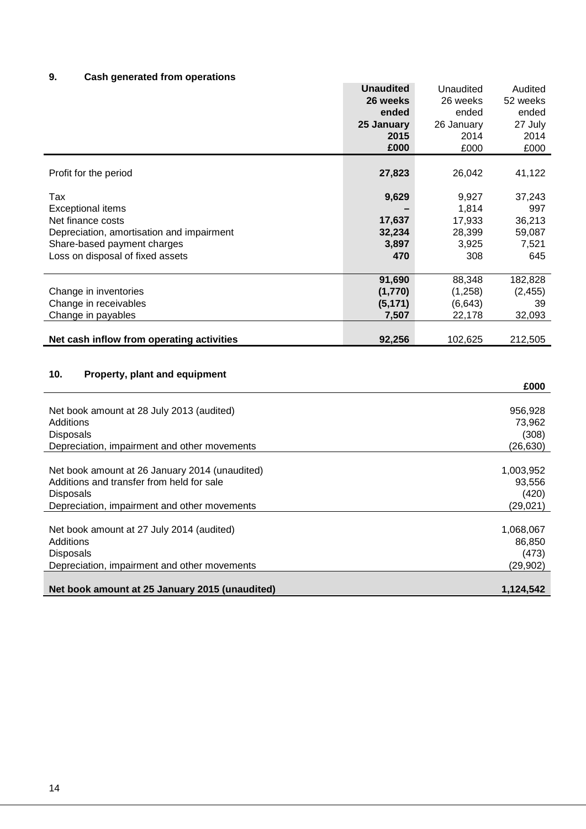# **9. Cash generated from operations**

|                                                | <b>Unaudited</b> | Unaudited  | Audited   |
|------------------------------------------------|------------------|------------|-----------|
|                                                | 26 weeks         | 26 weeks   | 52 weeks  |
|                                                | ended            | ended      | ended     |
|                                                | 25 January       | 26 January | 27 July   |
|                                                | 2015             | 2014       | 2014      |
|                                                | £000             | £000       | £000      |
|                                                |                  |            |           |
| Profit for the period                          | 27,823           | 26,042     | 41,122    |
|                                                |                  |            |           |
| Tax                                            | 9,629            | 9,927      | 37,243    |
| <b>Exceptional items</b>                       |                  | 1,814      | 997       |
| Net finance costs                              | 17,637           | 17,933     | 36,213    |
| Depreciation, amortisation and impairment      | 32,234           | 28,399     | 59,087    |
| Share-based payment charges                    | 3,897            | 3,925      | 7,521     |
| Loss on disposal of fixed assets               | 470              | 308        | 645       |
|                                                |                  |            |           |
|                                                | 91,690           | 88,348     | 182,828   |
| Change in inventories                          | (1,770)          | (1,258)    | (2, 455)  |
| Change in receivables                          | (5, 171)         | (6, 643)   | 39        |
| Change in payables                             | 7,507            | 22,178     | 32,093    |
| Net cash inflow from operating activities      | 92,256           |            |           |
|                                                |                  | 102,625    | 212,505   |
|                                                |                  |            |           |
| 10.<br>Property, plant and equipment           |                  |            |           |
|                                                |                  |            | £000      |
|                                                |                  |            |           |
| Net book amount at 28 July 2013 (audited)      |                  |            | 956,928   |
| Additions                                      |                  |            | 73,962    |
| <b>Disposals</b>                               |                  |            | (308)     |
| Depreciation, impairment and other movements   |                  |            | (26, 630) |
|                                                |                  |            |           |
| Net book amount at 26 January 2014 (unaudited) |                  |            | 1,003,952 |
| Additions and transfer from held for sale      |                  |            | 93,556    |
| Disposals                                      |                  |            | (420)     |
| Depreciation, impairment and other movements   |                  |            | (29, 021) |
|                                                |                  |            |           |
| Net book amount at 27 July 2014 (audited)      |                  |            | 1,068,067 |
| Additions                                      |                  |            | 86,850    |
| Disposals                                      |                  |            | (473)     |
| Depreciation, impairment and other movements   |                  |            | (29, 902) |

**Net book amount at 25 January 2015 (unaudited) 1,124,542**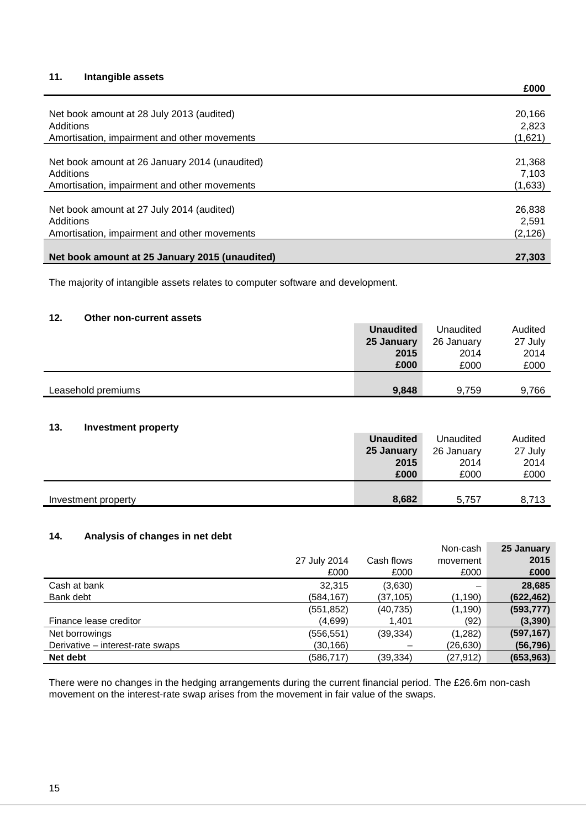# **11. Intangible assets**

|                                                | LUUU     |
|------------------------------------------------|----------|
|                                                |          |
| Net book amount at 28 July 2013 (audited)      | 20,166   |
| Additions                                      | 2,823    |
| Amortisation, impairment and other movements   | (1,621)  |
|                                                |          |
| Net book amount at 26 January 2014 (unaudited) | 21,368   |
| Additions                                      | 7,103    |
| Amortisation, impairment and other movements   | (1,633)  |
|                                                |          |
| Net book amount at 27 July 2014 (audited)      | 26,838   |
| Additions                                      | 2.591    |
| Amortisation, impairment and other movements   | (2, 126) |
|                                                |          |
| Net book amount at 25 January 2015 (unaudited) | 27,303   |

**£000**

The majority of intangible assets relates to computer software and development.

# **12. Other non-current assets**

|                    | <b>Unaudited</b> | Unaudited  | Audited |
|--------------------|------------------|------------|---------|
|                    | 25 January       | 26 January | 27 July |
|                    | 2015             | 2014       | 2014    |
|                    | £000             | £000       | £000    |
|                    |                  |            |         |
| Leasehold premiums | 9,848            | 9,759      | 9,766   |

# **13. Investment property**

|                     | <b>Unaudited</b> | Unaudited  | Audited |
|---------------------|------------------|------------|---------|
|                     | 25 January       | 26 January | 27 July |
|                     | 2015             | 2014       | 2014    |
|                     | £000             | £000       | £000    |
|                     |                  |            |         |
| Investment property | 8,682            | 5.757      | 8.713   |

### **14. Analysis of changes in net debt**

|                                  |              |            | Non-cash  | 25 January |
|----------------------------------|--------------|------------|-----------|------------|
|                                  | 27 July 2014 | Cash flows | movement  | 2015       |
|                                  | £000         | £000       | £000      | £000       |
| Cash at bank                     | 32.315       | (3,630)    |           | 28,685     |
| Bank debt                        | (584,167)    | (37,105)   | (1,190)   | (622, 462) |
|                                  | (551, 852)   | (40, 735)  | (1, 190)  | (593, 777) |
| Finance lease creditor           | (4,699)      | 1,401      | (92)      | (3,390)    |
| Net borrowings                   | (556, 551)   | (39, 334)  | (1,282)   | (597, 167) |
| Derivative - interest-rate swaps | (30, 166)    |            | (26, 630) | (56, 796)  |
| Net debt                         | (586, 717)   | (39, 334)  | (27, 912) | (653, 963) |

There were no changes in the hedging arrangements during the current financial period. The £26.6m non-cash movement on the interest-rate swap arises from the movement in fair value of the swaps.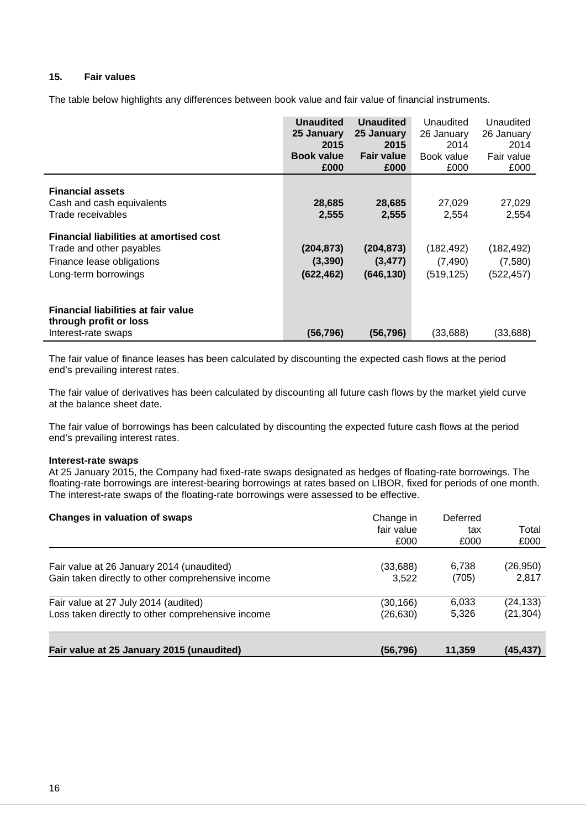# **15. Fair values**

The table below highlights any differences between book value and fair value of financial instruments.

|                                                | <b>Unaudited</b><br>25 January<br>2015<br><b>Book value</b><br>£000 | <b>Unaudited</b><br>25 January<br>2015<br><b>Fair value</b><br>£000 | Unaudited<br>26 January<br>2014<br>Book value<br>£000 | Unaudited<br>26 January<br>2014<br>Fair value<br>£000 |
|------------------------------------------------|---------------------------------------------------------------------|---------------------------------------------------------------------|-------------------------------------------------------|-------------------------------------------------------|
| <b>Financial assets</b>                        |                                                                     |                                                                     |                                                       |                                                       |
| Cash and cash equivalents                      | 28,685                                                              | 28,685                                                              | 27,029                                                | 27,029                                                |
| Trade receivables                              | 2,555                                                               | 2,555                                                               | 2,554                                                 | 2,554                                                 |
| <b>Financial liabilities at amortised cost</b> |                                                                     |                                                                     |                                                       |                                                       |
| Trade and other payables                       | (204, 873)                                                          | (204, 873)                                                          | (182, 492)                                            | (182, 492)                                            |
| Finance lease obligations                      | (3, 390)                                                            | (3, 477)                                                            | (7, 490)                                              | (7,580)                                               |
| Long-term borrowings                           | (622, 462)                                                          | (646, 130)                                                          | (519, 125)                                            | (522, 457)                                            |
|                                                |                                                                     |                                                                     |                                                       |                                                       |
| Financial liabilities at fair value            |                                                                     |                                                                     |                                                       |                                                       |
| through profit or loss                         |                                                                     |                                                                     |                                                       |                                                       |
| Interest-rate swaps                            | (56, 796)                                                           | (56, 796)                                                           | (33, 688)                                             | (33,688)                                              |

The fair value of finance leases has been calculated by discounting the expected cash flows at the period end's prevailing interest rates.

The fair value of derivatives has been calculated by discounting all future cash flows by the market yield curve at the balance sheet date.

The fair value of borrowings has been calculated by discounting the expected future cash flows at the period end's prevailing interest rates.

#### **Interest-rate swaps**

At 25 January 2015, the Company had fixed-rate swaps designated as hedges of floating-rate borrowings. The floating-rate borrowings are interest-bearing borrowings at rates based on LIBOR, fixed for periods of one month. The interest-rate swaps of the floating-rate borrowings were assessed to be effective.

| <b>Changes in valuation of swaps</b>              | Change in<br>fair value<br>£000 | Deferred<br>tax<br>£000 | Total<br>£000 |
|---------------------------------------------------|---------------------------------|-------------------------|---------------|
| Fair value at 26 January 2014 (unaudited)         | (33, 688)                       | 6,738                   | (26,950)      |
| Gain taken directly to other comprehensive income | 3.522                           | (705)                   | 2,817         |
| Fair value at 27 July 2014 (audited)              | (30, 166)                       | 6,033                   | (24, 133)     |
| Loss taken directly to other comprehensive income | (26,630)                        | 5,326                   | (21, 304)     |
| Fair value at 25 January 2015 (unaudited)         | (56, 796)                       | 11,359                  | (45,437)      |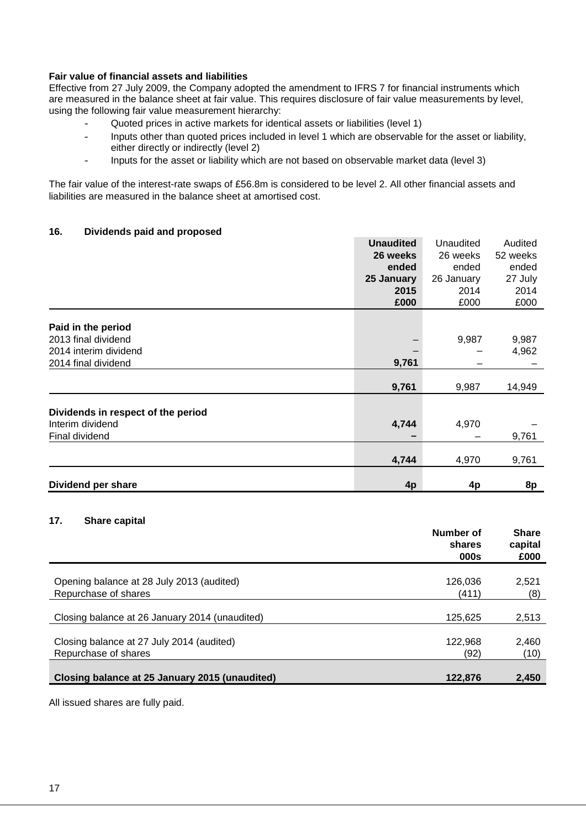# **Fair value of financial assets and liabilities**

Effective from 27 July 2009, the Company adopted the amendment to IFRS 7 for financial instruments which are measured in the balance sheet at fair value. This requires disclosure of fair value measurements by level, using the following fair value measurement hierarchy:

- Quoted prices in active markets for identical assets or liabilities (level 1)
- Inputs other than quoted prices included in level 1 which are observable for the asset or liability, either directly or indirectly (level 2)
- Inputs for the asset or liability which are not based on observable market data (level 3)

The fair value of the interest-rate swaps of £56.8m is considered to be level 2. All other financial assets and liabilities are measured in the balance sheet at amortised cost.

#### **16. Dividends paid and proposed**

|                                    | 26 weeks   | 26 weeks   | 52 weeks |
|------------------------------------|------------|------------|----------|
|                                    | ended      | ended      | ended    |
|                                    | 25 January | 26 January | 27 July  |
|                                    | 2015       | 2014       | 2014     |
|                                    | £000       | £000       | £000     |
|                                    |            |            |          |
| Paid in the period                 |            |            |          |
| 2013 final dividend                |            | 9,987      | 9,987    |
| 2014 interim dividend              |            |            | 4,962    |
| 2014 final dividend                | 9,761      |            |          |
|                                    |            |            |          |
|                                    | 9,761      | 9,987      | 14,949   |
|                                    |            |            |          |
| Dividends in respect of the period |            |            |          |
| Interim dividend                   | 4,744      | 4,970      |          |
| Final dividend                     |            |            | 9,761    |
|                                    |            |            |          |
|                                    | 4,744      | 4,970      | 9,761    |
|                                    |            |            |          |
| Dividend per share                 | 4p         | 4p         | 8p       |

#### **17. Share capital**

|                                                | Number of<br>shares<br>000s | <b>Share</b><br>capital<br>£000 |
|------------------------------------------------|-----------------------------|---------------------------------|
|                                                |                             |                                 |
| Opening balance at 28 July 2013 (audited)      | 126,036                     | 2,521                           |
| Repurchase of shares                           | (411)                       | (8)                             |
|                                                |                             |                                 |
| Closing balance at 26 January 2014 (unaudited) | 125,625                     | 2,513                           |
|                                                |                             |                                 |
| Closing balance at 27 July 2014 (audited)      | 122,968                     | 2,460                           |
| Repurchase of shares                           | (92)                        | (10)                            |
|                                                |                             |                                 |
| Closing balance at 25 January 2015 (unaudited) | 122,876                     | 2,450                           |

All issued shares are fully paid.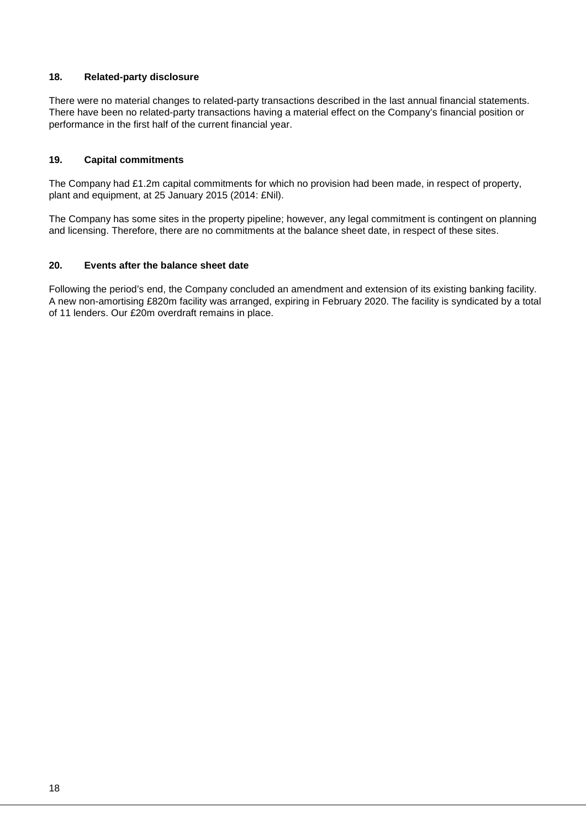# **18. Related-party disclosure**

There were no material changes to related-party transactions described in the last annual financial statements. There have been no related-party transactions having a material effect on the Company's financial position or performance in the first half of the current financial year.

# **19. Capital commitments**

The Company had £1.2m capital commitments for which no provision had been made, in respect of property, plant and equipment, at 25 January 2015 (2014: £Nil).

The Company has some sites in the property pipeline; however, any legal commitment is contingent on planning and licensing. Therefore, there are no commitments at the balance sheet date, in respect of these sites.

# **20. Events after the balance sheet date**

Following the period's end, the Company concluded an amendment and extension of its existing banking facility. A new non-amortising £820m facility was arranged, expiring in February 2020. The facility is syndicated by a total of 11 lenders. Our £20m overdraft remains in place.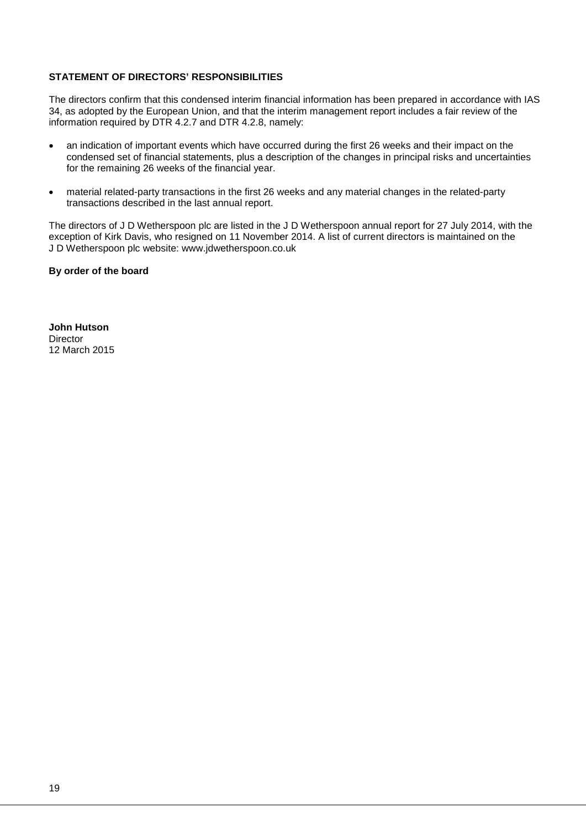# **STATEMENT OF DIRECTORS' RESPONSIBILITIES**

The directors confirm that this condensed interim financial information has been prepared in accordance with IAS 34, as adopted by the European Union, and that the interim management report includes a fair review of the information required by DTR 4.2.7 and DTR 4.2.8, namely:

- an indication of important events which have occurred during the first 26 weeks and their impact on the condensed set of financial statements, plus a description of the changes in principal risks and uncertainties for the remaining 26 weeks of the financial year.
- material related-party transactions in the first 26 weeks and any material changes in the related-party transactions described in the last annual report.

The directors of J D Wetherspoon plc are listed in the J D Wetherspoon annual report for 27 July 2014, with the exception of Kirk Davis, who resigned on 11 November 2014. A list of current directors is maintained on the J D Wetherspoon plc website: www.jdwetherspoon.co.uk

**By order of the board**

**John Hutson Director** 12 March 2015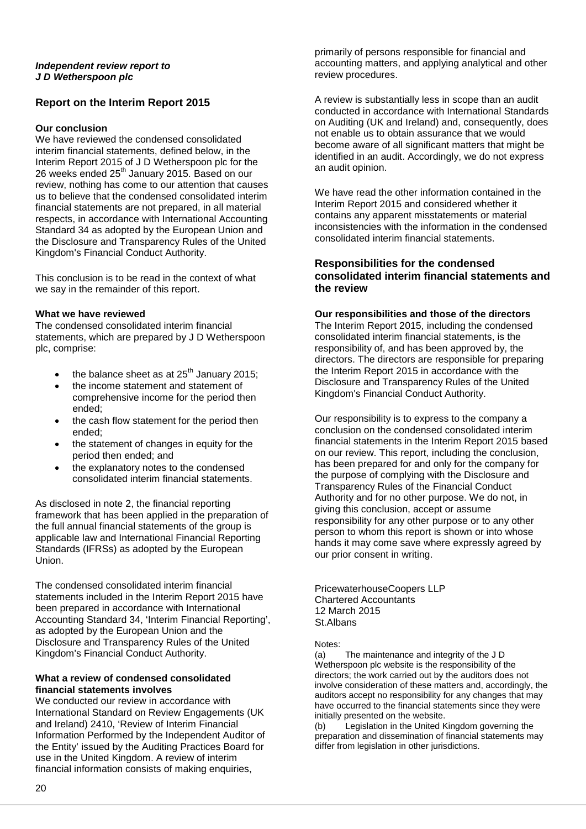#### *Independent review report to J D Wetherspoon plc*

# **Report on the Interim Report 2015**

### **Our conclusion**

We have reviewed the condensed consolidated interim financial statements, defined below, in the Interim Report 2015 of J D Wetherspoon plc for the 26 weeks ended 25<sup>th</sup> January 2015. Based on our review, nothing has come to our attention that causes us to believe that the condensed consolidated interim financial statements are not prepared, in all material respects, in accordance with International Accounting Standard 34 as adopted by the European Union and the Disclosure and Transparency Rules of the United Kingdom's Financial Conduct Authority.

This conclusion is to be read in the context of what we say in the remainder of this report.

#### **What we have reviewed**

The condensed consolidated interim financial statements, which are prepared by J D Wetherspoon plc, comprise:

- the balance sheet as at  $25<sup>th</sup>$  January 2015;
- the income statement and statement of comprehensive income for the period then ended;
- the cash flow statement for the period then ended;
- the statement of changes in equity for the period then ended; and
- the explanatory notes to the condensed consolidated interim financial statements.

As disclosed in note 2, the financial reporting framework that has been applied in the preparation of the full annual financial statements of the group is applicable law and International Financial Reporting Standards (IFRSs) as adopted by the European Union.

The condensed consolidated interim financial statements included in the Interim Report 2015 have been prepared in accordance with International Accounting Standard 34, 'Interim Financial Reporting', as adopted by the European Union and the Disclosure and Transparency Rules of the United Kingdom's Financial Conduct Authority.

#### **What a review of condensed consolidated financial statements involves**

We conducted our review in accordance with International Standard on Review Engagements (UK and Ireland) 2410, 'Review of Interim Financial Information Performed by the Independent Auditor of the Entity' issued by the Auditing Practices Board for use in the United Kingdom. A review of interim financial information consists of making enquiries,

primarily of persons responsible for financial and accounting matters, and applying analytical and other review procedures.

A review is substantially less in scope than an audit conducted in accordance with International Standards on Auditing (UK and Ireland) and, consequently, does not enable us to obtain assurance that we would become aware of all significant matters that might be identified in an audit. Accordingly, we do not express an audit opinion.

We have read the other information contained in the Interim Report 2015 and considered whether it contains any apparent misstatements or material inconsistencies with the information in the condensed consolidated interim financial statements.

### **Responsibilities for the condensed consolidated interim financial statements and the review**

#### **Our responsibilities and those of the directors**

The Interim Report 2015, including the condensed consolidated interim financial statements, is the responsibility of, and has been approved by, the directors. The directors are responsible for preparing the Interim Report 2015 in accordance with the Disclosure and Transparency Rules of the United Kingdom's Financial Conduct Authority.

Our responsibility is to express to the company a conclusion on the condensed consolidated interim financial statements in the Interim Report 2015 based on our review. This report, including the conclusion, has been prepared for and only for the company for the purpose of complying with the Disclosure and Transparency Rules of the Financial Conduct Authority and for no other purpose. We do not, in giving this conclusion, accept or assume responsibility for any other purpose or to any other person to whom this report is shown or into whose hands it may come save where expressly agreed by our prior consent in writing.

PricewaterhouseCoopers LLP Chartered Accountants 12 March 2015 St.Albans

Notes:

(a) The maintenance and integrity of the J D Wetherspoon plc website is the responsibility of the directors; the work carried out by the auditors does not involve consideration of these matters and, accordingly, the auditors accept no responsibility for any changes that may have occurred to the financial statements since they were initially presented on the website.

(b) Legislation in the United Kingdom governing the preparation and dissemination of financial statements may differ from legislation in other jurisdictions.